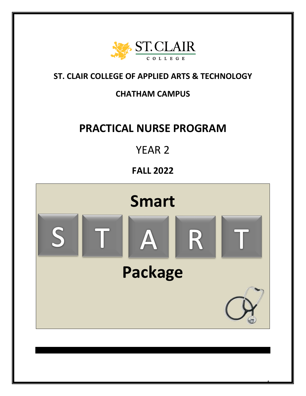

### **ST. CLAIR COLLEGE OF APPLIED ARTS & TECHNOLOGY**

### **CHATHAM CAMPUS**

# **PRACTICAL NURSE PROGRAM**

# YEAR 2

## **FALL 2022**



ī

1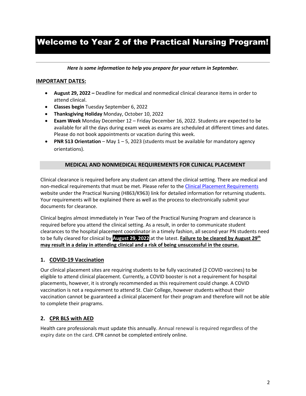### Welcome to Year 2 of the Practical Nursing Program!

*Here is some information to help you prepare for your return in September.*

#### **IMPORTANT DATES:**

- **August 29, 2022 –** Deadline for medical and nonmedical clinical clearance items in order to attend clinical.
- **Classes begin** Tuesday September 6, 2022
- **Thanksgiving Holiday** Monday, October 10, 2022
- **Exam Week** Monday December 12 Friday December 16, 2022. Students are expected to be available for all the days during exam week as exams are scheduled at different times and dates. Please do not book appointments or vacation during this week.
- **PNR 513 Orientation** May 1 5, 2023 (students must be available for mandatory agency orientations).

#### **MEDICAL AND NONMEDICAL REQUIREMENTS FOR CLINICAL PLACEMENT**

Clinical clearance is required before any student can attend the clinical setting. There are medical and non-medical requirements that must be met. Please refer to th[e Clinical Placement Requirements](https://www.stclaircollege.ca/programs/clinical-placement-requirements) website under the Practical Nursing (H863/K963) link for detailed information for returning students. Your requirements will be explained there as well as the process to electronically submit your documents for clearance.

Clinical begins almost immediately in Year Two of the Practical Nursing Program and clearance is required before you attend the clinical setting. As a result, in order to communicate student clearances to the hospital placement coordinator in a timely fashion, all second year PN students need to be fully cleared for clinical by **August 29, 2022** at the latest. **Failure to be cleared by August 29th may result in a delay in attending clinical and a risk of being unsuccessful in the course.**

#### **1. COVID-19 Vaccination**

Our clinical placement sites are requiring students to be fully vaccinated (2 COVID vaccines) to be eligible to attend clinical placement. Currently, a COVID booster is not a requirement for hospital placements, however, it is strongly recommended as this requirement could change. A COVID vaccination is not a requirement to attend St. Clair College, however students without their vaccination cannot be guaranteed a clinical placement for their program and therefore will not be able to complete their programs.

#### **2. CPR BLS with AED**

Health care professionals must update this annually. Annual renewal is required regardless of the expiry date on the card. CPR cannot be completed entirely online.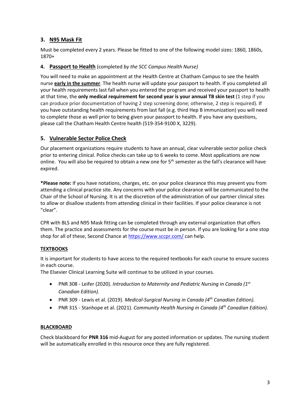#### **3. N95 Mask Fit**

Must be completed every 2 years. Please be fitted to one of the following model sizes: 1860, 1860s, 1870+

#### **4. Passport to Health** (completed *by the SCC Campus Health Nurse)*

You will need to make an appointment at the Health Centre at Chatham Campus to see the health nurse **early in the summer**. The health nurse will update your passport to health. If you completed all your health requirements last fall when you entered the program and received your passport to health at that time, the **only medical requirement for second year is your annual TB skin test** (1 step if you can produce prior documentation of having 2 step screening done; otherwise, 2 step is required). If you have outstanding health requirements from last fall (e.g. third Hep B immunization) you will need to complete those as well prior to being given your passport to health. If you have any questions, please call the Chatham Health Centre health (519-354-9100 X, 3229).

#### **5. Vulnerable Sector Police Check**

Our placement organizations require students to have an annual, clear vulnerable sector police check prior to entering clinical. Police checks can take up to 6 weeks to come. Most applications are now online. You will also be required to obtain a new one for  $5<sup>th</sup>$  semester as the fall's clearance will have expired.

**\*Please note:** If you have notations, charges, etc. on your police clearance this may prevent you from attending a clinical practice site. Any concerns with your police clearance will be communicated to the Chair of the School of Nursing. It is at the discretion of the administration of our partner clinical sites to allow or disallow students from attending clinical in their facilities. If your police clearance is not "clear".

CPR with BLS and N95 Mask fitting can be completed through any external organization that offers them. The practice and assessments for the course must be in person. If you are looking for a one stop shop for all of these, Second Chance at<https://www.sccpr.com/> can help.

#### **TEXTBOOKS**

It is important for students to have access to the required textbooks for each course to ensure success in each course.

The Elsevier Clinical Learning Suite will continue to be utilized in your courses.

- PNR 308 Leifer (2020). *Introduction to Maternity and Pediatric Nursing in Canada (1st Canadian Edition).*
- PNR 309 Lewis et al. (2019). *Medical-Surgical Nursing in Canada (4th Canadian Edition).*
- PNR 315 Stanhope et al. (2021). *Community Health Nursing in Canada (4th Canadian Edition).*

#### **BLACKBOARD**

Check blackboard for **PNR 316** mid-August for any posted information or updates. The nursing student will be automatically enrolled in this resource once they are fully registered.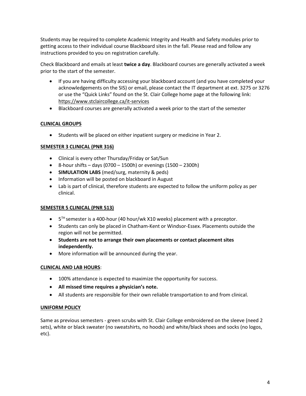Students may be required to complete Academic Integrity and Health and Safety modules prior to getting access to their individual course Blackboard sites in the fall. Please read and follow any instructions provided to you on registration carefully.

Check Blackboard and emails at least **twice a day**. Blackboard courses are generally activated a week prior to the start of the semester.

- If you are having difficulty accessing your blackboard account (and you have completed your acknowledgements on the SIS) or email, please contact the IT department at ext. 3275 or 3276 or use the "Quick Links" found on the St. Clair College home page at the following link: https://www.stclaircollege.ca/it-services
- Blackboard courses are generally activated a week prior to the start of the semester

#### **CLINICAL GROUPS**

• Students will be placed on either inpatient surgery or medicine in Year 2.

#### **SEMESTER 3 CLINICAL (PNR 316)**

- Clinical is every other Thursday/Friday or Sat/Sun
- 8-hour shifts days (0700 1500h) or evenings  $(1500 2300h)$
- **SIMULATION LABS** (med/surg, maternity & peds)
- Information will be posted on blackboard in August
- Lab is part of clinical, therefore students are expected to follow the uniform policy as per clinical.

#### **SEMESTER 5 CLINICAL (PNR 513)**

- $\bullet$  5<sup>TH</sup> semester is a 400-hour (40 hour/wk X10 weeks) placement with a preceptor.
- Students can only be placed in Chatham-Kent or Windsor-Essex. Placements outside the region will not be permitted.
- **Students are not to arrange their own placements or contact placement sites independently.**
- More information will be announced during the year.

#### **CLINICAL AND LAB HOURS**:

- 100% attendance is expected to maximize the opportunity for success.
- **All missed time requires a physician's note.**
- All students are responsible for their own reliable transportation to and from clinical.

#### **UNIFORM POLICY**

Same as previous semesters - green scrubs with St. Clair College embroidered on the sleeve (need 2 sets), white or black sweater (no sweatshirts, no hoods) and white/black shoes and socks (no logos, etc).